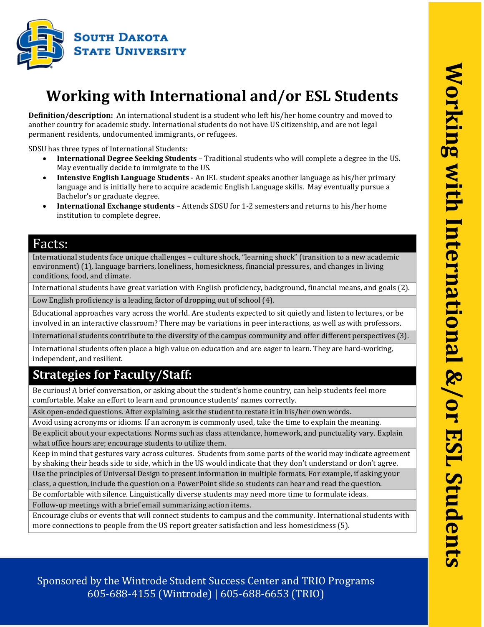

# **Working with International and/or ESL Students**

**Definition/description:** An international student is a student who left his/her home country and moved to another country for academic study. International students do not have US citizenship, and are not legal permanent residents, undocumented immigrants, or refugees.

SDSU has three types of International Students:

- **International Degree Seeking Students** Traditional students who will complete a degree in the US. May eventually decide to immigrate to the US.
- **Intensive English Language Students**  An IEL student speaks another language as his/her primary language and is initially here to acquire academic English Language skills. May eventually pursue a Bachelor's or graduate degree.
- **International Exchange students** Attends SDSU for 1-2 semesters and returns to his/her home institution to complete degree.

### Facts:

International students face unique challenges – culture shock, "learning shock" (transition to a new academic environment) (1), language barriers, loneliness, homesickness, financial pressures, and changes in living conditions, food, and climate.

International students have great variation with English proficiency, background, financial means, and goals (2).

Low English proficiency is a leading factor of dropping out of school (4).

Educational approaches vary across the world. Are students expected to sit quietly and listen to lectures, or be involved in an interactive classroom? There may be variations in peer interactions, as well as with professors.

International students contribute to the diversity of the campus community and offer different perspectives (3).

International students often place a high value on education and are eager to learn. They are hard-working, independent, and resilient.

## **Strategies for Faculty/Staff:**

Be curious! A brief conversation, or asking about the student's home country, can help students feel more comfortable. Make an effort to learn and pronounce students' names correctly.

Ask open-ended questions. After explaining, ask the student to restate it in his/her own words.

Avoid using acronyms or idioms. If an acronym is commonly used, take the time to explain the meaning.

Be explicit about your expectations. Norms such as class attendance, homework, and punctuality vary. Explain what office hours are; encourage students to utilize them.

Keep in mind that gestures vary across cultures. Students from some parts of the world may indicate agreement by shaking their heads side to side, which in the US would indicate that they don't understand or don't agree.

Use the principles of Universal Design to present information in multiple formats. For example, if asking your class, a question, include the question on a PowerPoint slide so students can hear and read the question.

Be comfortable with silence. Linguistically diverse students may need more time to formulate ideas.

Follow-up meetings with a brief email summarizing action items.

Encourage clubs or events that will connect students to campus and the community. International students with more connections to people from the US report greater satisfaction and less homesickness (5).